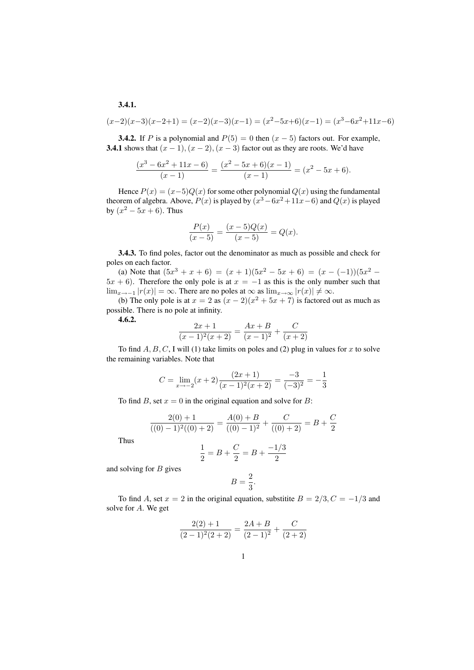$$
3.4.1.
$$

$$
(x-2)(x-3)(x-2+1) = (x-2)(x-3)(x-1) = (x^2-5x+6)(x-1) = (x^3-6x^2+11x-6)
$$

**3.4.2.** If P is a polynomial and  $P(5) = 0$  then  $(x - 5)$  factors out. For example, 3.4.1 shows that  $(x - 1)$ ,  $(x - 2)$ ,  $(x - 3)$  factor out as they are roots. We'd have

$$
\frac{(x^3 - 6x^2 + 11x - 6)}{(x - 1)} = \frac{(x^2 - 5x + 6)(x - 1)}{(x - 1)} = (x^2 - 5x + 6).
$$

Hence  $P(x) = (x-5)Q(x)$  for some other polynomial  $Q(x)$  using the fundamental theorem of algebra. Above,  $P(x)$  is played by  $(x^3 - 6x^2 + 11x - 6)$  and  $Q(x)$  is played by  $(x^2 - 5x + 6)$ . Thus

$$
\frac{P(x)}{(x-5)} = \frac{(x-5)Q(x)}{(x-5)} = Q(x).
$$

3.4.3. To find poles, factor out the denominator as much as possible and check for poles on each factor.

(a) Note that  $(5x^3 + x + 6) = (x + 1)(5x^2 - 5x + 6) = (x - (-1))(5x^2 5x + 6$ ). Therefore the only pole is at  $x = -1$  as this is the only number such that  $\lim_{x\to -1} |r(x)| = \infty$ . There are no poles at  $\infty$  as  $\lim_{x\to \infty} |r(x)| \neq \infty$ .

(b) The only pole is at  $x = 2$  as  $(x - 2)(x^2 + 5x + 7)$  is factored out as much as possible. There is no pole at infinity.

4.6.2.

$$
\frac{2x+1}{(x-1)^2(x+2)} = \frac{Ax+B}{(x-1)^2} + \frac{C}{(x+2)}
$$

To find  $A, B, C$ , I will (1) take limits on poles and (2) plug in values for x to solve the remaining variables. Note that

$$
C = \lim_{x \to -2} (x+2) \frac{(2x+1)}{(x-1)^2(x+2)} = \frac{-3}{(-3)^2} = -\frac{1}{3}
$$

To find B, set  $x = 0$  in the original equation and solve for B:

$$
\frac{2(0) + 1}{((0) - 1)^2((0) + 2)} = \frac{A(0) + B}{((0) - 1)^2} + \frac{C}{((0) + 2)} = B + \frac{C}{2}
$$

Thus

$$
\frac{1}{2} = B + \frac{C}{2} = B + \frac{-1/3}{2}
$$

and solving for  $B$  gives

$$
B=\frac{2}{3}.
$$

To find A, set  $x = 2$  in the original equation, substitite  $B = 2/3, C = -1/3$  and solve for A. We get

$$
\frac{2(2)+1}{(2-1)^2(2+2)} = \frac{2A+B}{(2-1)^2} + \frac{C}{(2+2)}
$$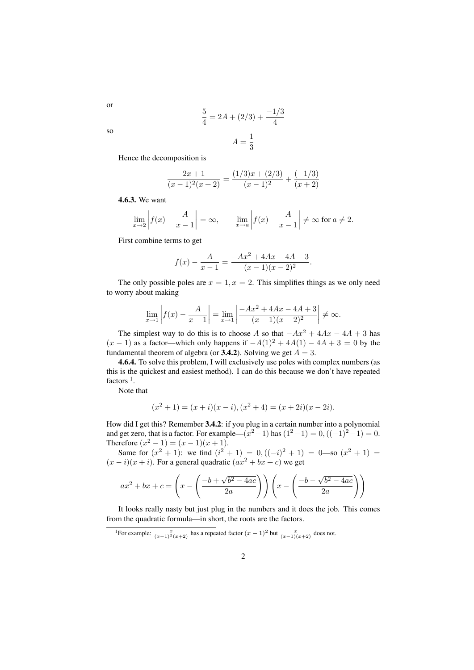$$
\frac{5}{4} = 2A + (2/3) + \frac{-1/3}{4}
$$

$$
A = \frac{1}{3}
$$

so

or

Hence the decomposition is

$$
\frac{2x+1}{(x-1)^2(x+2)} = \frac{(1/3)x + (2/3)}{(x-1)^2} + \frac{(-1/3)}{(x+2)}
$$

4.6.3. We want

$$
\lim_{x \to 2} \left| f(x) - \frac{A}{x - 1} \right| = \infty, \qquad \lim_{x \to a} \left| f(x) - \frac{A}{x - 1} \right| \neq \infty \text{ for } a \neq 2.
$$

First combine terms to get

$$
f(x) - \frac{A}{x - 1} = \frac{-Ax^2 + 4Ax - 4A + 3}{(x - 1)(x - 2)^2}.
$$

The only possible poles are  $x = 1, x = 2$ . This simplifies things as we only need to worry about making

$$
\lim_{x \to 1} \left| f(x) - \frac{A}{x - 1} \right| = \lim_{x \to 1} \left| \frac{-Ax^2 + 4Ax - 4A + 3}{(x - 1)(x - 2)^2} \right| \neq \infty.
$$

The simplest way to do this is to choose A so that  $-Ax^2 + 4Ax - 4A + 3$  has  $(x - 1)$  as a factor—which only happens if  $-A(1)^2 + 4A(1) - 4A + 3 = 0$  by the fundamental theorem of algebra (or  $3.4.2$ ). Solving we get  $A = 3$ .

4.6.4. To solve this problem, I will exclusively use poles with complex numbers (as this is the quickest and easiest method). I can do this because we don't have repeated factors  $<sup>1</sup>$ .</sup>

Note that

$$
(x2 + 1) = (x + i)(x - i), (x2 + 4) = (x + 2i)(x - 2i).
$$

How did I get this? Remember 3.4.2: if you plug in a certain number into a polynomial and get zero, that is a factor. For example— $(x^2 - 1)$  has  $(1^2 - 1) = 0$ ,  $((-1)^2 - 1) = 0$ . Therefore  $(x^2 - 1) = (x - 1)(x + 1)$ .

Same for  $(x^2 + 1)$ : we find  $(i^2 + 1) = 0$ ,  $((-i)^2 + 1) = 0$ —so  $(x^2 + 1) =$  $(x - i)(x + i)$ . For a general quadratic  $(ax^2 + bx + c)$  we get

$$
ax^{2} + bx + c = \left(x - \left(\frac{-b + \sqrt{b^{2} - 4ac}}{2a}\right)\right)\left(x - \left(\frac{-b - \sqrt{b^{2} - 4ac}}{2a}\right)\right)
$$

It looks really nasty but just plug in the numbers and it does the job. This comes from the quadratic formula—in short, the roots are the factors.

<sup>&</sup>lt;sup>1</sup>For example:  $\frac{x}{(x-1)^2(x+2)}$  has a repeated factor  $(x-1)^2$  but  $\frac{x}{(x-1)(x+2)}$  does not.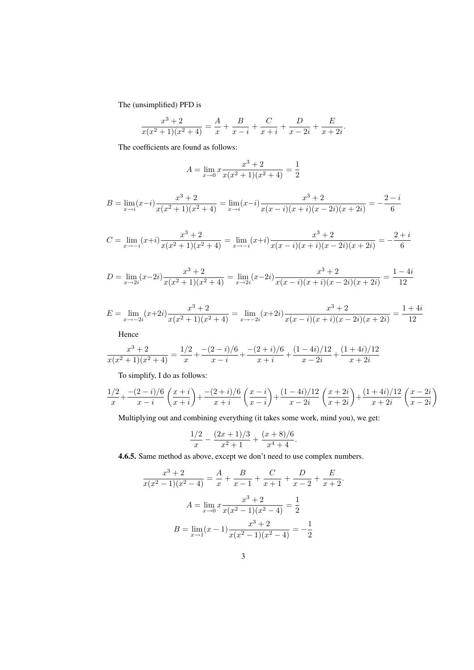The (unsimplified) PFD is

$$
\frac{x^3+2}{x(x^2+1)(x^2+4)} = \frac{A}{x} + \frac{B}{x-i} + \frac{C}{x+i} + \frac{D}{x-2i} + \frac{E}{x+2i}
$$

.

The coefficients are found as follows:

$$
A = \lim_{x \to 0} x \frac{x^3 + 2}{x(x^2 + 1)(x^2 + 4)} = \frac{1}{2}
$$

$$
B = \lim_{x \to i} (x - i) \frac{x^3 + 2}{x(x^2 + 1)(x^2 + 4)} = \lim_{x \to i} (x - i) \frac{x^3 + 2}{x(x - i)(x + i)(x - 2i)(x + 2i)} = -\frac{2 - i}{6}
$$

$$
C = \lim_{x \to -i} (x+i) \frac{x^3 + 2}{x(x^2 + 1)(x^2 + 4)} = \lim_{x \to -i} (x+i) \frac{x^3 + 2}{x(x-i)(x+i)(x-2i)(x+2i)} = -\frac{2+i}{6}
$$

$$
D = \lim_{x \to 2i} (x - 2i) \frac{x^3 + 2}{x(x^2 + 1)(x^2 + 4)} = \lim_{x \to 2i} (x - 2i) \frac{x^3 + 2}{x(x - i)(x + i)(x - 2i)(x + 2i)} = \frac{1 - 4i}{12}
$$

$$
E = \lim_{x \to -2i} (x+2i) \frac{x^3+2}{x(x^2+1)(x^2+4)} = \lim_{x \to -2i} (x+2i) \frac{x^3+2}{x(x-i)(x+i)(x-2i)(x+2i)} = \frac{1+4i}{12}
$$

Hence

$$
\frac{x^3+2}{x(x^2+1)(x^2+4)} = \frac{1/2}{x} + \frac{-(2-i)/6}{x-i} + \frac{-(2+i)/6}{x+i} + \frac{(1-4i)/12}{x-2i} + \frac{(1+4i)/12}{x+2i}
$$

To simplify, I do as follows:

$$
\frac{1/2}{x} + \frac{-(2-i)/6}{x-i} \left(\frac{x+i}{x+i}\right) + \frac{-(2+i)/6}{x+i} \left(\frac{x-i}{x-i}\right) + \frac{(1-4i)/12}{x-2i} \left(\frac{x+2i}{x+2i}\right) + \frac{(1+4i)/12}{x+2i} \left(\frac{x-2i}{x-2i}\right)
$$

Multiplying out and combining everything (it takes some work, mind you), we get:

$$
\frac{1/2}{x} - \frac{(2x+1)/3}{x^2+1} + \frac{(x+8)/6}{x^4+4}.
$$

4.6.5. Same method as above, except we don't need to use complex numbers.

$$
\frac{x^3+2}{x(x^2-1)(x^2-4)} = \frac{A}{x} + \frac{B}{x-1} + \frac{C}{x+1} + \frac{D}{x-2} + \frac{E}{x+2}.
$$

$$
A = \lim_{x \to 0} x \frac{x^3+2}{x(x^2-1)(x^2-4)} = \frac{1}{2}
$$

$$
B = \lim_{x \to 1} (x-1) \frac{x^3+2}{x(x^2-1)(x^2-4)} = -\frac{1}{2}
$$